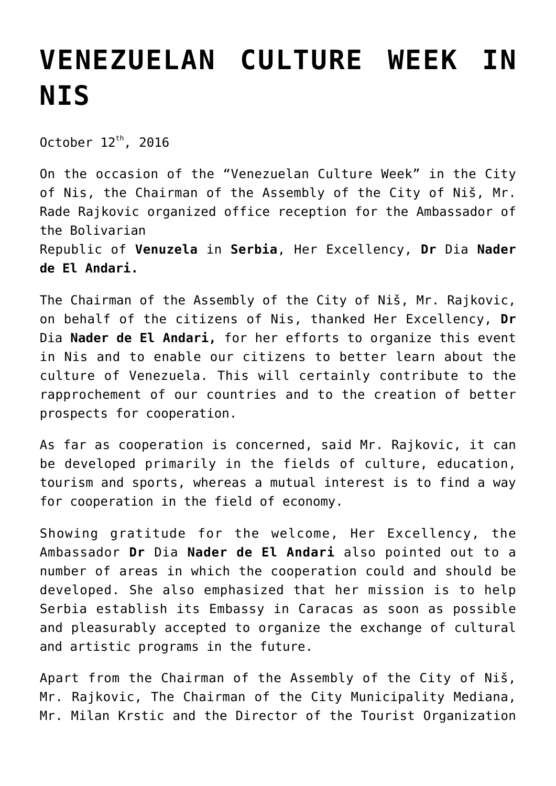## **[VENEZUELAN CULTURE WEEK IN](https://www.gu.ni.rs/2016/10/12/venezuelan-culture-week-in-nis/) [NIS](https://www.gu.ni.rs/2016/10/12/venezuelan-culture-week-in-nis/)**

October  $12^{th}$ , 2016

On the occasion of the "Venezuelan Culture Week" in the City of Nis, the Chairman of the Assembly of the City of Niš, Mr. Rade Rajkovic organized office reception for the Ambassador of the Bolivarian Republic of **Venuzela** in **Serbia**, Her Excellency, **Dr** Dia **Nader**

**de El Andari.**

The Chairman of the Assembly of the City of Niš, Mr. Rajkovic, on behalf of the citizens of Nis, thanked Her Excellency, **Dr** Dia **Nader de El Andari,** for her efforts to organize this event in Nis and to enable our citizens to better learn about the culture of Venezuela. This will certainly contribute to the rapprochement of our countries and to the creation of better prospects for cooperation.

As far as cooperation is concerned, said Mr. Rajkovic, it can be developed primarily in the fields of culture, education, tourism and sports, whereas a mutual interest is to find a way for cooperation in the field of economy.

Showing gratitude for the welcome, Her Excellency, the Ambassador **Dr** Dia **Nader de El Andari** also pointed out to a number of areas in which the cooperation could and should be developed. She also emphasized that her mission is to help Serbia establish its Embassy in Caracas as soon as possible and pleasurably accepted to organize the exchange of cultural and artistic programs in the future.

Apart from the Chairman of the Assembly of the City of Niš, Mr. Rajkovic, The Chairman of the City Municipality Mediana, Mr. Milan Krstic and the Director of the Tourist Organization